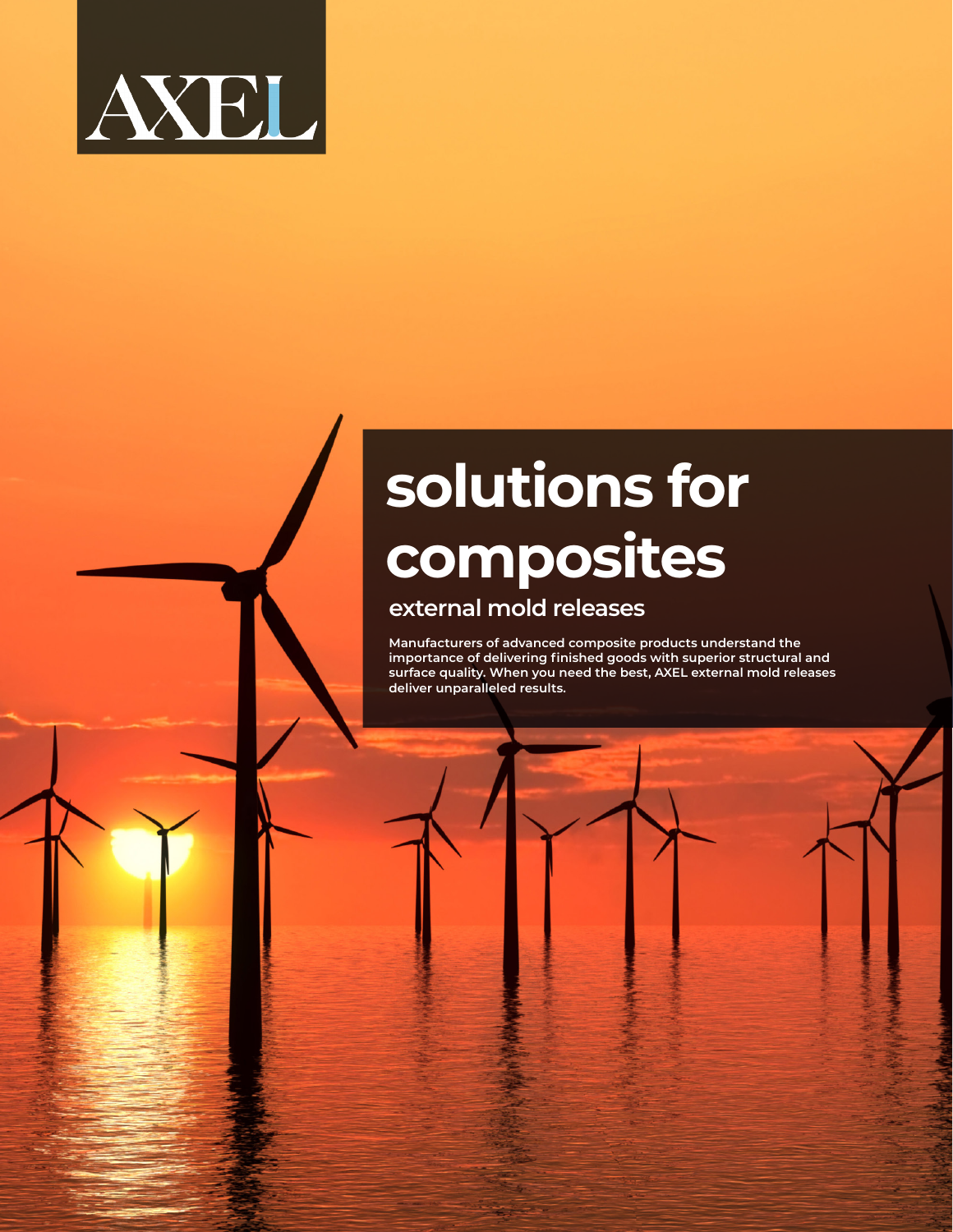

## **solutions for composites**

## **external mold releases**

**Manufacturers of advanced composite products understand the importance of delivering finished goods with superior structural and surface quality. When you need the best, AXEL external mold releases deliver unparalleled results.**